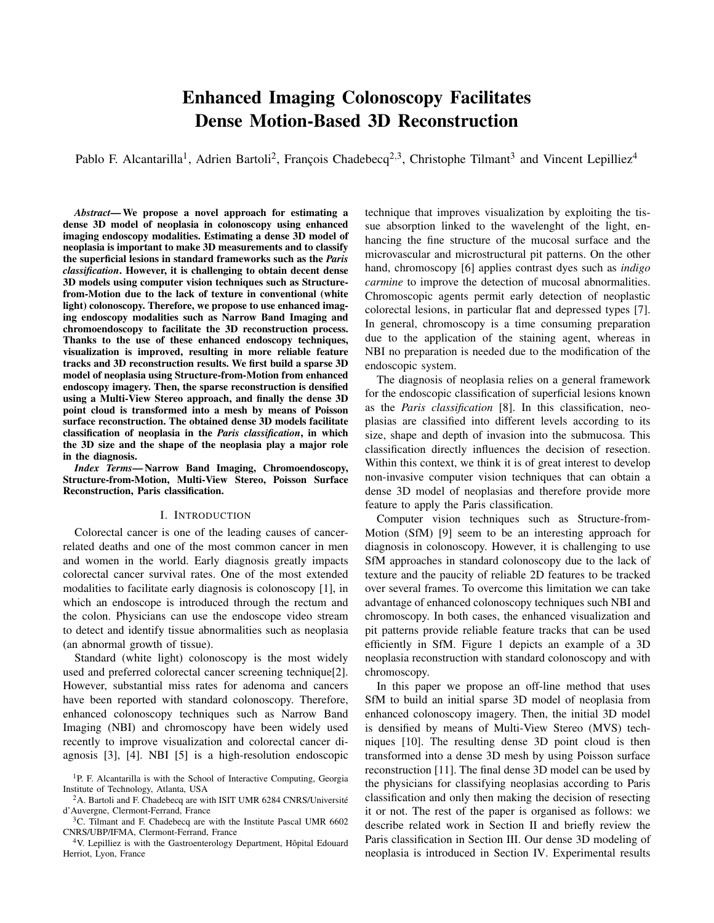# Enhanced Imaging Colonoscopy Facilitates Dense Motion-Based 3D Reconstruction

Pablo F. Alcantarilla<sup>1</sup>, Adrien Bartoli<sup>2</sup>, François Chadebecq<sup>2,3</sup>, Christophe Tilmant<sup>3</sup> and Vincent Lepilliez<sup>4</sup>

*Abstract*— We propose a novel approach for estimating a dense 3D model of neoplasia in colonoscopy using enhanced imaging endoscopy modalities. Estimating a dense 3D model of neoplasia is important to make 3D measurements and to classify the superficial lesions in standard frameworks such as the *Paris classification*. However, it is challenging to obtain decent dense 3D models using computer vision techniques such as Structurefrom-Motion due to the lack of texture in conventional (white light) colonoscopy. Therefore, we propose to use enhanced imaging endoscopy modalities such as Narrow Band Imaging and chromoendoscopy to facilitate the 3D reconstruction process. Thanks to the use of these enhanced endoscopy techniques, visualization is improved, resulting in more reliable feature tracks and 3D reconstruction results. We first build a sparse 3D model of neoplasia using Structure-from-Motion from enhanced endoscopy imagery. Then, the sparse reconstruction is densified using a Multi-View Stereo approach, and finally the dense 3D point cloud is transformed into a mesh by means of Poisson surface reconstruction. The obtained dense 3D models facilitate classification of neoplasia in the *Paris classification*, in which the 3D size and the shape of the neoplasia play a major role in the diagnosis.

*Index Terms*— Narrow Band Imaging, Chromoendoscopy, Structure-from-Motion, Multi-View Stereo, Poisson Surface Reconstruction, Paris classification.

### I. INTRODUCTION

Colorectal cancer is one of the leading causes of cancerrelated deaths and one of the most common cancer in men and women in the world. Early diagnosis greatly impacts colorectal cancer survival rates. One of the most extended modalities to facilitate early diagnosis is colonoscopy [1], in which an endoscope is introduced through the rectum and the colon. Physicians can use the endoscope video stream to detect and identify tissue abnormalities such as neoplasia (an abnormal growth of tissue).

Standard (white light) colonoscopy is the most widely used and preferred colorectal cancer screening technique[2]. However, substantial miss rates for adenoma and cancers have been reported with standard colonoscopy. Therefore, enhanced colonoscopy techniques such as Narrow Band Imaging (NBI) and chromoscopy have been widely used recently to improve visualization and colorectal cancer diagnosis [3], [4]. NBI [5] is a high-resolution endoscopic technique that improves visualization by exploiting the tissue absorption linked to the wavelenght of the light, enhancing the fine structure of the mucosal surface and the microvascular and microstructural pit patterns. On the other hand, chromoscopy [6] applies contrast dyes such as *indigo carmine* to improve the detection of mucosal abnormalities. Chromoscopic agents permit early detection of neoplastic colorectal lesions, in particular flat and depressed types [7]. In general, chromoscopy is a time consuming preparation due to the application of the staining agent, whereas in NBI no preparation is needed due to the modification of the endoscopic system.

The diagnosis of neoplasia relies on a general framework for the endoscopic classification of superficial lesions known as the *Paris classification* [8]. In this classification, neoplasias are classified into different levels according to its size, shape and depth of invasion into the submucosa. This classification directly influences the decision of resection. Within this context, we think it is of great interest to develop non-invasive computer vision techniques that can obtain a dense 3D model of neoplasias and therefore provide more feature to apply the Paris classification.

Computer vision techniques such as Structure-from-Motion (SfM) [9] seem to be an interesting approach for diagnosis in colonoscopy. However, it is challenging to use SfM approaches in standard colonoscopy due to the lack of texture and the paucity of reliable 2D features to be tracked over several frames. To overcome this limitation we can take advantage of enhanced colonoscopy techniques such NBI and chromoscopy. In both cases, the enhanced visualization and pit patterns provide reliable feature tracks that can be used efficiently in SfM. Figure 1 depicts an example of a 3D neoplasia reconstruction with standard colonoscopy and with chromoscopy.

In this paper we propose an off-line method that uses SfM to build an initial sparse 3D model of neoplasia from enhanced colonoscopy imagery. Then, the initial 3D model is densified by means of Multi-View Stereo (MVS) techniques [10]. The resulting dense 3D point cloud is then transformed into a dense 3D mesh by using Poisson surface reconstruction [11]. The final dense 3D model can be used by the physicians for classifying neoplasias according to Paris classification and only then making the decision of resecting it or not. The rest of the paper is organised as follows: we describe related work in Section II and briefly review the Paris classification in Section III. Our dense 3D modeling of neoplasia is introduced in Section IV. Experimental results

<sup>&</sup>lt;sup>1</sup>P. F. Alcantarilla is with the School of Interactive Computing, Georgia Institute of Technology, Atlanta, USA

<sup>&</sup>lt;sup>2</sup>A. Bartoli and F. Chadebecq are with ISIT UMR 6284 CNRS/Université d'Auvergne, Clermont-Ferrand, France

<sup>&</sup>lt;sup>3</sup>C. Tilmant and F. Chadebecq are with the Institute Pascal UMR 6602 CNRS/UBP/IFMA, Clermont-Ferrand, France

<sup>&</sup>lt;sup>4</sup>V. Lepilliez is with the Gastroenterology Department, Hôpital Edouard Herriot, Lyon, France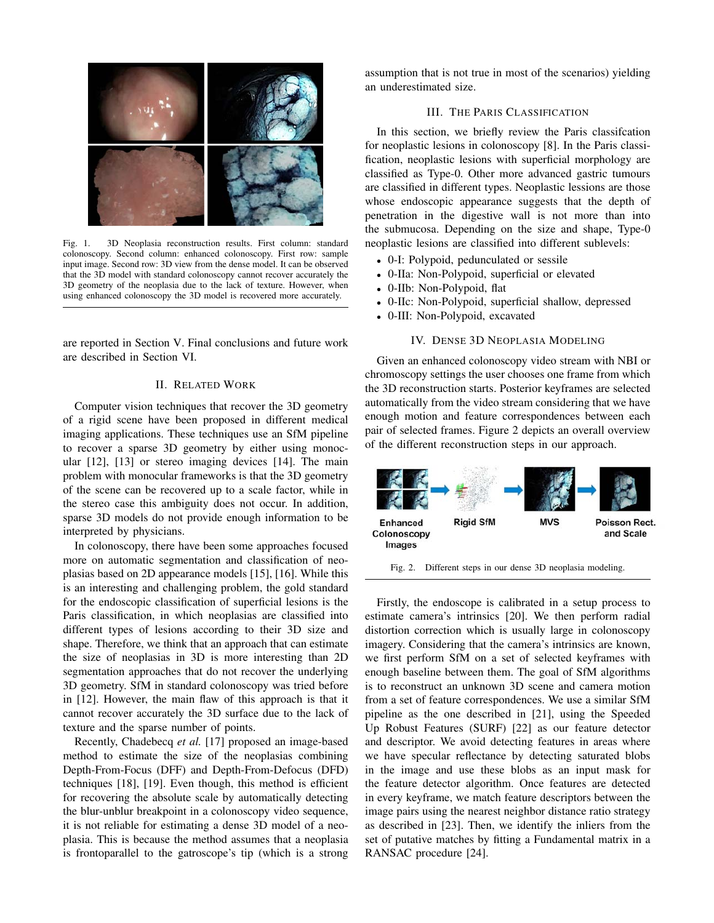

Fig. 1. 3D Neoplasia reconstruction results. First column: standard colonoscopy. Second column: enhanced colonoscopy. First row: sample input image. Second row: 3D view from the dense model. It can be observed that the 3D model with standard colonoscopy cannot recover accurately the 3D geometry of the neoplasia due to the lack of texture. However, when using enhanced colonoscopy the 3D model is recovered more accurately.

are reported in Section V. Final conclusions and future work are described in Section VI.

# II. RELATED WORK

Computer vision techniques that recover the 3D geometry of a rigid scene have been proposed in different medical imaging applications. These techniques use an SfM pipeline to recover a sparse 3D geometry by either using monocular [12], [13] or stereo imaging devices [14]. The main problem with monocular frameworks is that the 3D geometry of the scene can be recovered up to a scale factor, while in the stereo case this ambiguity does not occur. In addition, sparse 3D models do not provide enough information to be interpreted by physicians.

In colonoscopy, there have been some approaches focused more on automatic segmentation and classification of neoplasias based on 2D appearance models [15], [16]. While this is an interesting and challenging problem, the gold standard for the endoscopic classification of superficial lesions is the Paris classification, in which neoplasias are classified into different types of lesions according to their 3D size and shape. Therefore, we think that an approach that can estimate the size of neoplasias in 3D is more interesting than 2D segmentation approaches that do not recover the underlying 3D geometry. SfM in standard colonoscopy was tried before in [12]. However, the main flaw of this approach is that it cannot recover accurately the 3D surface due to the lack of texture and the sparse number of points.

Recently, Chadebecq *et al.* [17] proposed an image-based method to estimate the size of the neoplasias combining Depth-From-Focus (DFF) and Depth-From-Defocus (DFD) techniques [18], [19]. Even though, this method is efficient for recovering the absolute scale by automatically detecting the blur-unblur breakpoint in a colonoscopy video sequence, it is not reliable for estimating a dense 3D model of a neoplasia. This is because the method assumes that a neoplasia is frontoparallel to the gatroscope's tip (which is a strong assumption that is not true in most of the scenarios) yielding an underestimated size.

# III. THE PARIS CLASSIFICATION

In this section, we briefly review the Paris classifcation for neoplastic lesions in colonoscopy [8]. In the Paris classification, neoplastic lesions with superficial morphology are classified as Type-0. Other more advanced gastric tumours are classified in different types. Neoplastic lessions are those whose endoscopic appearance suggests that the depth of penetration in the digestive wall is not more than into the submucosa. Depending on the size and shape, Type-0 neoplastic lesions are classified into different sublevels:

- 0-I: Polypoid, pedunculated or sessile
- 0-IIa: Non-Polypoid, superficial or elevated
- 0-IIb: Non-Polypoid, flat
- 0-IIc: Non-Polypoid, superficial shallow, depressed
- 0-III: Non-Polypoid, excavated

## IV. DENSE 3D NEOPLASIA MODELING

Given an enhanced colonoscopy video stream with NBI or chromoscopy settings the user chooses one frame from which the 3D reconstruction starts. Posterior keyframes are selected automatically from the video stream considering that we have enough motion and feature correspondences between each pair of selected frames. Figure 2 depicts an overall overview of the different reconstruction steps in our approach.



Fig. 2. Different steps in our dense 3D neoplasia modeling.

Firstly, the endoscope is calibrated in a setup process to estimate camera's intrinsics [20]. We then perform radial distortion correction which is usually large in colonoscopy imagery. Considering that the camera's intrinsics are known, we first perform SfM on a set of selected keyframes with enough baseline between them. The goal of SfM algorithms is to reconstruct an unknown 3D scene and camera motion from a set of feature correspondences. We use a similar SfM pipeline as the one described in [21], using the Speeded Up Robust Features (SURF) [22] as our feature detector and descriptor. We avoid detecting features in areas where we have specular reflectance by detecting saturated blobs in the image and use these blobs as an input mask for the feature detector algorithm. Once features are detected in every keyframe, we match feature descriptors between the image pairs using the nearest neighbor distance ratio strategy as described in [23]. Then, we identify the inliers from the set of putative matches by fitting a Fundamental matrix in a RANSAC procedure [24].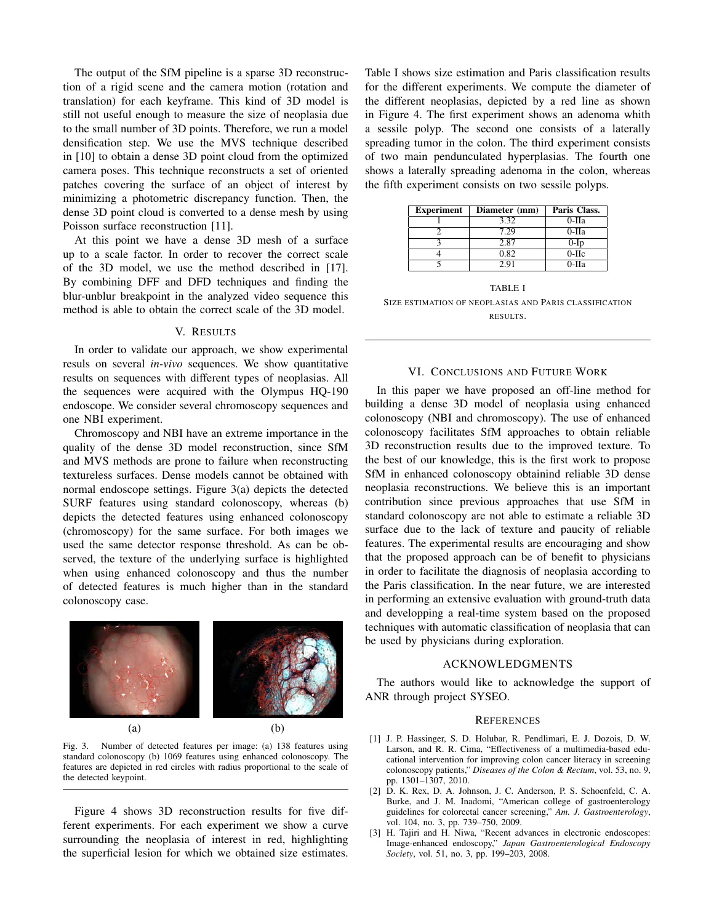The output of the SfM pipeline is a sparse 3D reconstruction of a rigid scene and the camera motion (rotation and translation) for each keyframe. This kind of 3D model is still not useful enough to measure the size of neoplasia due to the small number of 3D points. Therefore, we run a model densification step. We use the MVS technique described in [10] to obtain a dense 3D point cloud from the optimized camera poses. This technique reconstructs a set of oriented patches covering the surface of an object of interest by minimizing a photometric discrepancy function. Then, the dense 3D point cloud is converted to a dense mesh by using Poisson surface reconstruction [11].

At this point we have a dense 3D mesh of a surface up to a scale factor. In order to recover the correct scale of the 3D model, we use the method described in [17]. By combining DFF and DFD techniques and finding the blur-unblur breakpoint in the analyzed video sequence this method is able to obtain the correct scale of the 3D model.

#### V. RESULTS

In order to validate our approach, we show experimental resuls on several *in-vivo* sequences. We show quantitative results on sequences with different types of neoplasias. All the sequences were acquired with the Olympus HQ-190 endoscope. We consider several chromoscopy sequences and one NBI experiment.

Chromoscopy and NBI have an extreme importance in the quality of the dense 3D model reconstruction, since SfM and MVS methods are prone to failure when reconstructing textureless surfaces. Dense models cannot be obtained with normal endoscope settings. Figure 3(a) depicts the detected SURF features using standard colonoscopy, whereas (b) depicts the detected features using enhanced colonoscopy (chromoscopy) for the same surface. For both images we used the same detector response threshold. As can be observed, the texture of the underlying surface is highlighted when using enhanced colonoscopy and thus the number of detected features is much higher than in the standard colonoscopy case.



Fig. 3. Number of detected features per image: (a) 138 features using standard colonoscopy (b) 1069 features using enhanced colonoscopy. The features are depicted in red circles with radius proportional to the scale of the detected keypoint.

Figure 4 shows 3D reconstruction results for five different experiments. For each experiment we show a curve surrounding the neoplasia of interest in red, highlighting the superficial lesion for which we obtained size estimates. Table I shows size estimation and Paris classification results for the different experiments. We compute the diameter of the different neoplasias, depicted by a red line as shown in Figure 4. The first experiment shows an adenoma whith a sessile polyp. The second one consists of a laterally spreading tumor in the colon. The third experiment consists of two main pendunculated hyperplasias. The fourth one shows a laterally spreading adenoma in the colon, whereas the fifth experiment consists on two sessile polyps.

| <b>Experiment</b> | Diameter (mm) | Paris Class. |
|-------------------|---------------|--------------|
|                   | 3.32          | $0-IIa$      |
|                   | 7.29          | 0-IIa        |
|                   | 2.87          | $0-Ip$       |
|                   | 0.82          | $0-IIc$      |
|                   | 2.91          | 0-Ha         |

TABLE I SIZE ESTIMATION OF NEOPLASIAS AND PARIS CLASSIFICATION RESULTS.

#### VI. CONCLUSIONS AND FUTURE WORK

In this paper we have proposed an off-line method for building a dense 3D model of neoplasia using enhanced colonoscopy (NBI and chromoscopy). The use of enhanced colonoscopy facilitates SfM approaches to obtain reliable 3D reconstruction results due to the improved texture. To the best of our knowledge, this is the first work to propose SfM in enhanced colonoscopy obtainind reliable 3D dense neoplasia reconstructions. We believe this is an important contribution since previous approaches that use SfM in standard colonoscopy are not able to estimate a reliable 3D surface due to the lack of texture and paucity of reliable features. The experimental results are encouraging and show that the proposed approach can be of benefit to physicians in order to facilitate the diagnosis of neoplasia according to the Paris classification. In the near future, we are interested in performing an extensive evaluation with ground-truth data and developping a real-time system based on the proposed techniques with automatic classification of neoplasia that can be used by physicians during exploration.

#### ACKNOWLEDGMENTS

The authors would like to acknowledge the support of ANR through project SYSEO.

#### **REFERENCES**

- [1] J. P. Hassinger, S. D. Holubar, R. Pendlimari, E. J. Dozois, D. W. Larson, and R. R. Cima, "Effectiveness of a multimedia-based educational intervention for improving colon cancer literacy in screening colonoscopy patients," *Diseases of the Colon & Rectum*, vol. 53, no. 9, pp. 1301–1307, 2010.
- [2] D. K. Rex, D. A. Johnson, J. C. Anderson, P. S. Schoenfeld, C. A. Burke, and J. M. Inadomi, "American college of gastroenterology guidelines for colorectal cancer screening," *Am. J. Gastroenterology*, vol. 104, no. 3, pp. 739–750, 2009.
- [3] H. Tajiri and H. Niwa, "Recent advances in electronic endoscopes: Image-enhanced endoscopy," *Japan Gastroenterological Endoscopy Society*, vol. 51, no. 3, pp. 199–203, 2008.